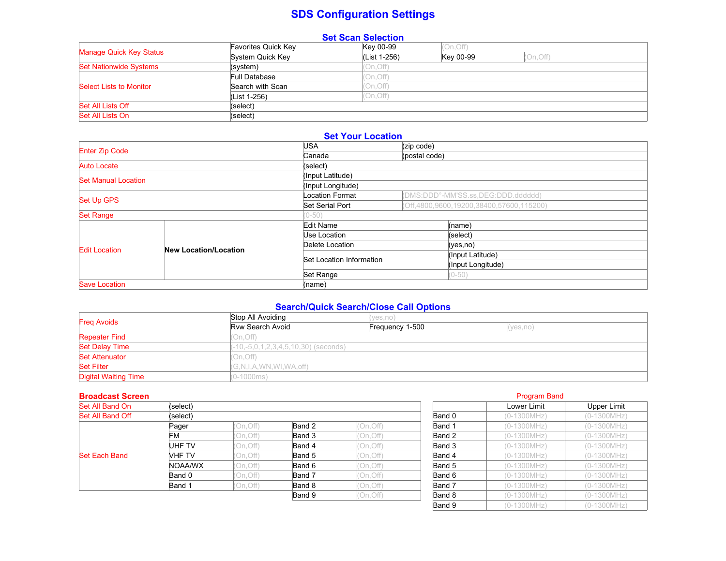# **SDS Configuration Settings**

| <b>Set Scan Selection</b>     |                     |              |           |           |  |  |
|-------------------------------|---------------------|--------------|-----------|-----------|--|--|
|                               | Favorites Quick Key | Key 00-99    | (On, Off) |           |  |  |
| Manage Quick Key Status       | System Quick Key    | (List 1-256) | Key 00-99 | (On, Off) |  |  |
| <b>Set Nationwide Systems</b> | (system)            | On, Off)     |           |           |  |  |
|                               | Full Database       | On, Off)     |           |           |  |  |
| Select Lists to Monitor       | Search with Scan    | On, Off)     |           |           |  |  |
|                               | (List 1-256)        | On, Off)     |           |           |  |  |
| Set All Lists Off             | (select)            |              |           |           |  |  |
| Set All Lists On              | (select)            |              |           |           |  |  |

# **Set Your Location**

| <b>Enter Zip Code</b>      |                              | USA                      | (zip code)    |                                          |  |
|----------------------------|------------------------------|--------------------------|---------------|------------------------------------------|--|
|                            |                              | Canada                   | (postal code) |                                          |  |
| Auto Locate                |                              | (select)                 |               |                                          |  |
| <b>Set Manual Location</b> |                              | (Input Latitude)         |               |                                          |  |
|                            |                              | (Input Longitude)        |               |                                          |  |
| <b>Set Up GPS</b>          |                              | <b>Location Format</b>   |               | (DMS:DDD°-MM'SS.ss,DEG:DDD.dddddd)       |  |
|                            |                              | Set Serial Port          |               | (Off,4800,9600,19200,38400,57600,115200) |  |
| <b>Set Range</b>           |                              |                          |               |                                          |  |
|                            |                              | Edit Name                |               | (name)                                   |  |
|                            |                              | Use Location             |               | (select)                                 |  |
| <b>Edit Location</b>       | <b>New Location/Location</b> | Delete Location          |               | (yes,no)                                 |  |
|                            |                              | Set Location Information |               | (Input Latitude)                         |  |
|                            |                              |                          |               | (Input Longitude)                        |  |
|                            |                              | Set Range                |               | $(0 - 50)$                               |  |
| <b>Save Location</b>       |                              | (name)                   |               |                                          |  |

# **Search/Quick Search/Close Call Options**

| <b>Freg Avoids</b>          | Stop All Avoiding      | (ves.no)                               |          |  |  |  |
|-----------------------------|------------------------|----------------------------------------|----------|--|--|--|
|                             | Ryw Search Avoid       | Frequency 1-500                        | (yes,no) |  |  |  |
| <b>Repeater Find</b>        | (On, Off)              |                                        |          |  |  |  |
| <b>Set Delay Time</b>       |                        | $(-10,-5,0,1,2,3,4,5,10,30)$ (seconds) |          |  |  |  |
| <b>Set Attenuator</b>       | (On, Off)              |                                        |          |  |  |  |
| <b>Set Filter</b>           | (G,N,I,A,WN,WI,WA,off) |                                        |          |  |  |  |
| <b>Digital Waiting Time</b> | $(0-1000ms)$           |                                        |          |  |  |  |

#### **Broadcast Screen** Program Band **Broadcast Screen** Program Band **Program Band** Program Band **Program Band**

| Set All Band On      | (select) |           |        |           | Lower Limit   | Upper Limit   |             |
|----------------------|----------|-----------|--------|-----------|---------------|---------------|-------------|
| Set All Band Off     | (select) |           |        | Band 0    | $(0-1300MHz)$ | (0-1300MHz)   |             |
|                      | Pager    | (On, Off) | Band 2 | 'On, Off) | Band 1        | $(0-1300MHz)$ | (0-1300MHz) |
|                      | FM       | (On, Off) | Band 3 | On, Off)  | Band 2        | $(0-1300MHz)$ | (0-1300MHz) |
|                      | UHF TV   | (On, Off) | Band 4 | On, Off)  | Band 3        | $(0-1300MHz)$ | (0-1300MHz) |
| <b>Set Each Band</b> | VHF TV   | (On, Off) | Band 5 | 'On, Off) | Band 4        | $(0-1300MHz)$ | (0-1300MHz) |
|                      | NOAA/WX  | (On, Off) | Band 6 | On, Off)  | Band 5        | $(0-1300MHz)$ | (0-1300MHz) |
|                      | Band 0   | (On,Off)  | Band 7 | On, Off)  | Band 6        | $(0-1300MHz)$ | (0-1300MHz) |
|                      | Band 1   | (On, Off) | Band 8 | On, Off)  | Band 7        | $(0-1300MHz)$ | (0-1300MHz) |
|                      |          |           | Band 9 | On, Off)  | Band 8        | $(0-1300MHz)$ | (0-1300MHz) |
|                      |          |           |        |           |               |               |             |

|           |        | Lower Limit   | Upper Limit     |
|-----------|--------|---------------|-----------------|
|           | Band 0 | (0-1300MHz)   | (0-1300MHz)     |
| On, Off)  | Band 1 | (0-1300MHz)   | (0-1300MHz)     |
| On, Off)  | Band 2 | $(0-1300MHz)$ | (0-1300MHz)     |
| On, Off)  | Band 3 | (0-1300MHz)   | (0-1300MHz)     |
| On, Off)  | Band 4 | (0-1300MHz)   | (0-1300MHz)     |
| On, Off)  | Band 5 | (0-1300MHz)   | (0-1300MHz)     |
| On, Off)  | Band 6 | $(0-1300MHz)$ | (0-1300MHz)     |
| On, Off)  | Band 7 | (0-1300MHz)   | (0-1300MHz)     |
| (On, Off) | Band 8 | $(0-1300MHz)$ | (0-1300MHz)     |
|           | Band 9 | (0-1300MHz)   | (0-1300MHz)     |
|           |        |               | Flogialli Daliu |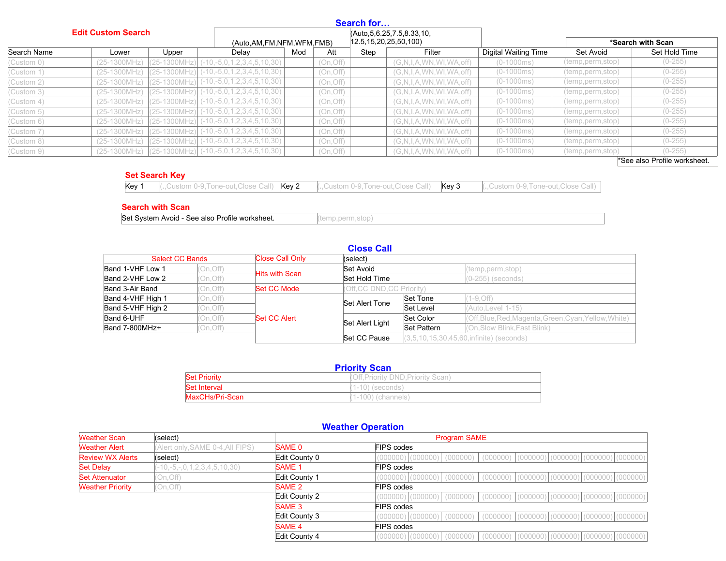|                           |                |       |                                                                                                        |     |           | Search for |                               |                             |                    |               |
|---------------------------|----------------|-------|--------------------------------------------------------------------------------------------------------|-----|-----------|------------|-------------------------------|-----------------------------|--------------------|---------------|
| <b>Edit Custom Search</b> |                |       | (Auto, 5, 6.25, 7.5, 8.33, 10,<br>$ 12.5, 15, 20, 25, 50, 100\rangle$<br>(Auto, AM, FM, NFM, WFM, FMB) |     |           |            | *Search with Scan             |                             |                    |               |
| Search Name               | Lower          | Upper | Delay                                                                                                  | Mod | Att       | Step       | Filter                        | <b>Digital Waiting Time</b> | Set Avoid          | Set Hold Time |
| (Custom 0)                | $(25-1300MHz)$ |       | $\vert$ (25-1300MHz) $\vert$ (-10,-5,0,1,2,3,4,5,10,30)                                                |     | (On, Off) |            | (G, N, I, A, WN, WI, WA, off) | $(0-1000ms)$                | (temp, perm, stop) | $(0-255)$     |
| (Custom 1)                | $(25-1300MHz)$ |       | $[(25-1300MHz)]$ (-10,-5,0,1,2,3,4,5,10,30)                                                            |     | (On, Off) |            | (G, N, I, A, WN, WI, WA, off) | $(0-1000ms)$                | (temp,perm,stop)   | $(0-255)$     |
| (Custom 2)                | $(25-1300MHz)$ |       | $\left[ (25-1300 MHz) \right] (-10,-5,0,1,2,3,4,5,10,30)$                                              |     | (On, Off) |            | (G, N, I, A, WN, WI, WA, off) | $(0-1000ms)$                | (temp,perm,stop)   | $(0-255)$     |
| (Custom 3)                | $(25-1300MHz)$ |       | $\left[ (25-1300 \text{MHz}) \right]$ (-10,-5,0,1,2,3,4,5,10,30)                                       |     | (On, Off) |            | (G, N, I, A, WN, WI, WA, off) | $(0-1000ms)$                | (temp,perm,stop)   | $(0-255)$     |
| (Custom 4)                | $(25-1300MHz)$ |       | $[(25-1300MHz)]$ (-10,-5,0,1,2,3,4,5,10,30)                                                            |     | (On, Off) |            | (G, N, I, A, WN, WI, WA, off) | $(0-1000ms)$                | (temp,perm,stop)   | $(0-255)$     |
| (Custom 5)                | $(25-1300MHz)$ |       | $[(25-1300MHz)]$ (-10,-5,0,1,2,3,4,5,10,30)                                                            |     | (On, Off) |            | (G, N, I, A, WN, WI, WA, off) | $(0-1000ms)$                | (temp,perm,stop)   | $(0-255)$     |
| (Custom 6)                | $(25-1300MHz)$ |       | $ (25-1300MHz) $ (-10,-5,0,1,2,3,4,5,10,30)                                                            |     | (On, Off) |            | (G,N,I,A,WN,WI,WA,off)        | $(0-1000ms)$                | (temp,perm,stop)   | $(0-255)$     |
| (Custom 7)                | $(25-1300MHz)$ |       | $[(25-1300MHz)]$ (-10,-5,0,1,2,3,4,5,10,30)                                                            |     | (On, Off) |            | (G, N, I, A, WN, WI, WA, off) | $(0-1000ms)$                | (temp,perm,stop)   | $(0-255)$     |
| (Custom 8)                | $(25-1300MHz)$ |       | $(25-1300MHz)$ $(-10,-5,0,1,2,3,4,5,10,30)$                                                            |     | (On, Off) |            | (G, N, I, A, WN, WI, WA, off) | $(0-1000ms)$                | (temp,perm,stop)   | $(0-255)$     |
| (Custom 9)                | $(25-1300MHz)$ |       | $\left[ (25-1300 MHz) \right] (-10,-5,0,1,2,3,4,5,10,30)$                                              |     | (On, Off) |            | (G, N, I, A, WN, WI, WA, off) | $(0-1000ms)$                | (temp, perm, stop) | $(0-255)$     |

\*See also Profile worksheet.

### **Set Search Key**

#### **Search with Scan**

Set System Avoid - See also Profile worksheet. (temp,perm,stop)

|                        |           |                        | <b>Close Call</b>          |                                            |                                                       |  |
|------------------------|-----------|------------------------|----------------------------|--------------------------------------------|-------------------------------------------------------|--|
| <b>Select CC Bands</b> |           | <b>Close Call Only</b> | (select)                   |                                            |                                                       |  |
| Band 1-VHF Low 1       | (On, Off) | <b>Hits with Scan</b>  | Set Avoid                  |                                            | (temp, perm, stop)                                    |  |
| Band 2-VHF Low 2       | (On,Off)  |                        | Set Hold Time              |                                            | $(0-255)$ (seconds)                                   |  |
| Band 3-Air Band        | (On, Off) | Set CC Mode            | (Off, CC DND, CC Priority) |                                            |                                                       |  |
| Band 4-VHF High 1      | (On, Off) |                        | Set Alert Tone             | Set Tone                                   | $(1 - 9, Off)$                                        |  |
| Band 5-VHF High 2      | (On, Off) |                        |                            | Set Level                                  | (Auto.Level 1-15)                                     |  |
| Band 6-UHF             | On, Off)  | Set CC Alert           | Set Alert Light            | Set Color                                  | (Off, Blue, Red, Magenta, Green, Cyan, Yellow, White) |  |
| Band 7-800MHz+         | (On,Off)  |                        |                            | Set Pattern                                | (On, Slow Blink, Fast Blink)                          |  |
|                        |           |                        | Set CC Pause               | $(3,5,10,15,30,45,60,$ infinite) (seconds) |                                                       |  |

| <b>Priority Scan</b>                                    |                      |  |  |  |  |
|---------------------------------------------------------|----------------------|--|--|--|--|
| <b>Set Priority</b><br>(Off.Priority DND.Priority Scan) |                      |  |  |  |  |
| <b>Set Interval</b>                                     | $(1-10)$ (seconds)   |  |  |  |  |
| MaxCHs/Pri-Scan                                         | $(1-100)$ (channels) |  |  |  |  |

# **Weather Operation**

| <b>Weather Scan</b>     | (select)                         |                   | <b>Program SAME</b>                                                                                                                     |  |  |  |  |  |
|-------------------------|----------------------------------|-------------------|-----------------------------------------------------------------------------------------------------------------------------------------|--|--|--|--|--|
| <b>Weather Alert</b>    | (Alert only, SAME 0-4, All FIPS) | SAME <sub>0</sub> | FIPS codes                                                                                                                              |  |  |  |  |  |
| <b>Review WX Alerts</b> | (select)                         | Edit County 0     | $\vert$ (000000) $\vert$ (000000) $\vert$ (000000) $\vert$ (000000) $\vert$ (000000) $\vert$ (000000) $\vert$ (000000) $\vert$ (000000) |  |  |  |  |  |
| <b>Set Delay</b>        | $(-10,-5,-,0,1,2,3,4,5,10,30)$   | <b>SAME 1</b>     | FIPS codes                                                                                                                              |  |  |  |  |  |
| <b>Set Attenuator</b>   | On, Off)                         | Edit County 1     |                                                                                                                                         |  |  |  |  |  |
| <b>Weather Priority</b> | (On, Off)                        | SAME 2            | FIPS codes                                                                                                                              |  |  |  |  |  |
|                         |                                  | Edit County 2     |                                                                                                                                         |  |  |  |  |  |
|                         |                                  | SAME <sub>3</sub> | <b>FIPS</b> codes                                                                                                                       |  |  |  |  |  |
|                         |                                  | Edit County 3     | $(000000) (000000)$ $(0000000)$ $(0000000)$ $(000000)$ $(000000)$ $(000000)$ $(000000)$                                                 |  |  |  |  |  |
|                         |                                  | <b>SAME 4</b>     | FIPS codes                                                                                                                              |  |  |  |  |  |
|                         |                                  | Edit County 4     | $(000000)$ $(000000)$ $(000000)$ $(000000)$ $(000000)$<br>(000000)   (000000)   (000000)                                                |  |  |  |  |  |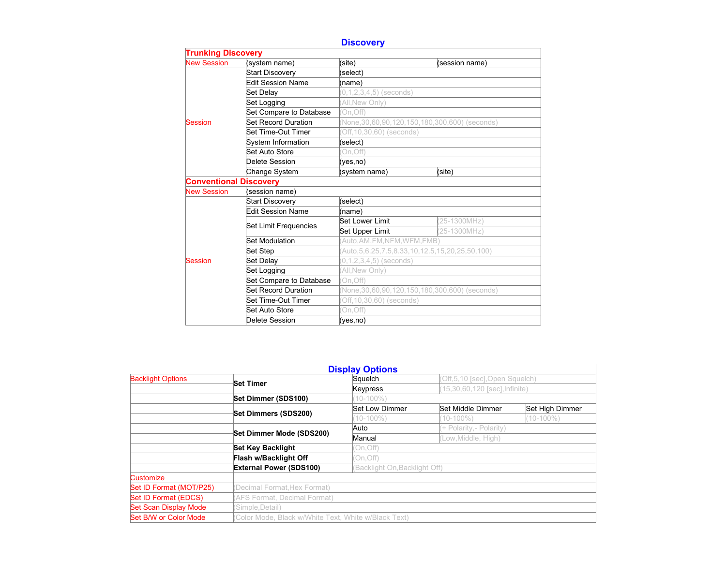# **Discovery**

| <b>Trunking Discovery</b>     |                          |                              |                                                           |  |  |  |  |  |
|-------------------------------|--------------------------|------------------------------|-----------------------------------------------------------|--|--|--|--|--|
| <b>New Session</b>            | (system name)            | (site)                       | (session name)                                            |  |  |  |  |  |
|                               | <b>Start Discovery</b>   | (select)                     |                                                           |  |  |  |  |  |
|                               | <b>Edit Session Name</b> | (name)                       |                                                           |  |  |  |  |  |
|                               | Set Delay                | $(0,1,2,3,4,5)$ (seconds)    |                                                           |  |  |  |  |  |
|                               | Set Logging              | All, New Only)               |                                                           |  |  |  |  |  |
| Session                       | Set Compare to Database  | On, Off)                     |                                                           |  |  |  |  |  |
|                               | Set Record Duration      |                              | (None, 30, 60, 90, 120, 150, 180, 300, 600) (seconds)     |  |  |  |  |  |
|                               | Set Time-Out Timer       | Off, 10, 30, 60) (seconds)   |                                                           |  |  |  |  |  |
|                               | System Information       | (select)                     |                                                           |  |  |  |  |  |
|                               | Set Auto Store           | On, Off)                     |                                                           |  |  |  |  |  |
|                               | Delete Session           | (ves.no)                     |                                                           |  |  |  |  |  |
|                               | Change System            | (system name)                | (site)                                                    |  |  |  |  |  |
| <b>Conventional Discovery</b> |                          |                              |                                                           |  |  |  |  |  |
| <b>New Session</b>            | (session name)           |                              |                                                           |  |  |  |  |  |
|                               | <b>Start Discovery</b>   | (select)                     |                                                           |  |  |  |  |  |
|                               | <b>Edit Session Name</b> | (name)                       |                                                           |  |  |  |  |  |
|                               | Set Limit Frequencies    | Set Lower Limit              | (25-1300MHz)                                              |  |  |  |  |  |
|                               |                          | Set Upper Limit              | (25-1300MHz)                                              |  |  |  |  |  |
|                               | Set Modulation           | Auto, AM, FM, NFM, WFM, FMB) |                                                           |  |  |  |  |  |
|                               | <b>Set Step</b>          |                              | (Auto, 5, 6.25, 7.5, 8.33, 10, 12.5, 15, 20, 25, 50, 100) |  |  |  |  |  |
| Session                       | Set Delay                | $(0,1,2,3,4,5)$ (seconds)    |                                                           |  |  |  |  |  |
|                               | Set Logging              | All, New Only)               |                                                           |  |  |  |  |  |
|                               | Set Compare to Database  | On.Off)                      |                                                           |  |  |  |  |  |
|                               | Set Record Duration      |                              | None, 30, 60, 90, 120, 150, 180, 300, 600) (seconds)      |  |  |  |  |  |
|                               | Set Time-Out Timer       | Off, 10, 30, 60) (seconds)   |                                                           |  |  |  |  |  |
|                               | Set Auto Store           | On, Off)                     |                                                           |  |  |  |  |  |
|                               | Delete Session           | (yes,no)                     |                                                           |  |  |  |  |  |

|                              |                                                                 | <b>Display Options</b> |                                |                 |  |  |
|------------------------------|-----------------------------------------------------------------|------------------------|--------------------------------|-----------------|--|--|
| <b>Backlight Options</b>     |                                                                 | Squelch                | (Off,5,10 [sec], Open Squelch) |                 |  |  |
|                              | <b>Set Timer</b>                                                | <b>Keypress</b>        | (15,30,60,120 [sec], Infinite) |                 |  |  |
|                              | Set Dimmer (SDS100)                                             | $10 - 100\%$           |                                |                 |  |  |
|                              | Set Dimmers (SDS200)                                            | Set Low Dimmer         | Set Middle Dimmer              | Set High Dimmer |  |  |
|                              |                                                                 | $10 - 100\%$           | $(10-100\%)$                   | $(10-100\%)$    |  |  |
|                              |                                                                 | Auto                   | (+ Polarity, - Polarity)       |                 |  |  |
|                              | Set Dimmer Mode (SDS200)                                        | Manual                 | Low, Middle, High)             |                 |  |  |
|                              | <b>Set Key Backlight</b>                                        | (On, Off)              |                                |                 |  |  |
|                              | Flash w/Backlight Off                                           | (On, Off)              |                                |                 |  |  |
|                              | <b>External Power (SDS100)</b><br>(Backlight On, Backlight Off) |                        |                                |                 |  |  |
| Customize                    |                                                                 |                        |                                |                 |  |  |
| Set ID Format (MOT/P25)      | (Decimal Format, Hex Format)                                    |                        |                                |                 |  |  |
| Set ID Format (EDCS)         | (AFS Format, Decimal Format)                                    |                        |                                |                 |  |  |
| <b>Set Scan Display Mode</b> | (Simple, Detail)                                                |                        |                                |                 |  |  |
| Set B/W or Color Mode        | (Color Mode, Black w/White Text, White w/Black Text)            |                        |                                |                 |  |  |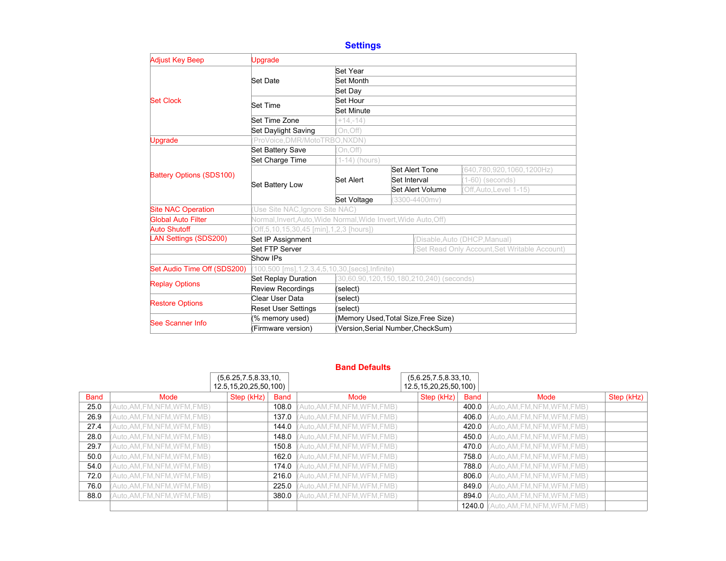# **Settings**

| <b>Adjust Key Beep</b>       | <b>Upgrade</b>                                                  |                                      |                  |                                              |                           |  |  |
|------------------------------|-----------------------------------------------------------------|--------------------------------------|------------------|----------------------------------------------|---------------------------|--|--|
|                              |                                                                 | Set Year                             |                  |                                              |                           |  |  |
|                              | Set Date                                                        | Set Month                            |                  |                                              |                           |  |  |
|                              |                                                                 | Set Day                              |                  |                                              |                           |  |  |
| <b>Set Clock</b>             | <b>Set Time</b>                                                 | Set Hour                             |                  |                                              |                           |  |  |
|                              |                                                                 | Set Minute                           |                  |                                              |                           |  |  |
|                              | Set Time Zone                                                   | $(+14,-14)$                          |                  |                                              |                           |  |  |
|                              | <b>Set Daylight Saving</b>                                      | On, Off)                             |                  |                                              |                           |  |  |
| <b>Upgrade</b>               | (ProVoice, DMR/MotoTRBO, NXDN)                                  |                                      |                  |                                              |                           |  |  |
|                              | Set Battery Save                                                | On, Off)                             |                  |                                              |                           |  |  |
|                              | Set Charge Time                                                 | $(1-14)$ (hours)                     |                  |                                              |                           |  |  |
| Battery Options (SDS100)     |                                                                 |                                      |                  | <b>Set Alert Tone</b>                        | (640,780,920,1060,1200Hz) |  |  |
|                              | Set Battery Low                                                 | Set Alert                            | Set Interval     |                                              | $(1-60)$ (seconds)        |  |  |
|                              |                                                                 |                                      | Set Alert Volume |                                              | Off, Auto, Level 1-15)    |  |  |
|                              |                                                                 | Set Voltage<br>$(3300 - 4400$ mv)    |                  |                                              |                           |  |  |
| <b>Site NAC Operation</b>    | (Use Site NAC, Ignore Site NAC)                                 |                                      |                  |                                              |                           |  |  |
| Global Auto Filter           | Normal, Invert, Auto, Wide Normal, Wide Invert, Wide Auto, Off) |                                      |                  |                                              |                           |  |  |
| <b>Auto Shutoff</b>          | Off, 5, 10, 15, 30, 45 [min], 1, 2, 3 [hours])                  |                                      |                  |                                              |                           |  |  |
| <b>LAN Settings (SDS200)</b> | Set IP Assignment                                               | Disable, Auto (DHCP, Manual)         |                  |                                              |                           |  |  |
|                              | Set FTP Server                                                  |                                      |                  | Set Read Only Account, Set Writable Account) |                           |  |  |
|                              | Show IPs                                                        |                                      |                  |                                              |                           |  |  |
| Set Audio Time Off (SDS200)  | 100,500 [ms], 1, 2, 3, 4, 5, 10, 30, [secs], Infinite)          |                                      |                  |                                              |                           |  |  |
| <b>Replay Options</b>        | Set Replay Duration<br>(30,60,90,120,150,180,210,240) (seconds) |                                      |                  |                                              |                           |  |  |
|                              | <b>Review Recordings</b>                                        | (select)                             |                  |                                              |                           |  |  |
| <b>Restore Options</b>       | Clear User Data                                                 | (select)                             |                  |                                              |                           |  |  |
|                              | <b>Reset User Settings</b>                                      | (select)                             |                  |                                              |                           |  |  |
| See Scanner Info             | (% memory used)                                                 | (Memory Used, Total Size, Free Size) |                  |                                              |                           |  |  |
|                              | (Firmware version)                                              | (Version, Serial Number, CheckSum)   |                  |                                              |                           |  |  |

|             |                                                    |            |             | <b>Band Defaults</b>         |                                                    |             |                               |            |
|-------------|----------------------------------------------------|------------|-------------|------------------------------|----------------------------------------------------|-------------|-------------------------------|------------|
|             | (5,6.25,7.5,8.33,10,<br>12.5, 15, 20, 25, 50, 100) |            |             |                              | (5,6.25,7.5,8.33,10,<br>12.5, 15, 20, 25, 50, 100) |             |                               |            |
| <b>Band</b> | Mode                                               | Step (kHz) | <b>Band</b> | Mode                         | Step (kHz)                                         | <b>Band</b> | Mode                          | Step (kHz) |
| 25.0        | Auto, AM, FM, NFM, WFM, FMB)                       |            | 108.0       | Auto, AM, FM, NFM, WFM, FMB) |                                                    | 400.0       | Auto, AM, FM, NFM, WFM, FMB)  |            |
| 26.9        | Auto, AM, FM, NFM, WFM, FMB)                       |            | 137.0       | Auto, AM, FM, NFM, WFM, FMB) |                                                    | 406.0       | Auto, AM, FM, NFM, WFM, FMB)  |            |
| 27.4        | Auto, AM, FM, NFM, WFM, FMB)                       |            | 144.0       | Auto, AM, FM, NFM, WFM, FMB) |                                                    | 420.0       | Auto, AM, FM, NFM, WFM, FMB)  |            |
| 28.0        | Auto, AM, FM, NFM, WFM, FMB)                       |            | 148.0       | Auto, AM, FM, NFM, WFM, FMB) |                                                    | 450.0       | Auto, AM, FM, NFM, WFM, FMB)  |            |
| 29.7        | Auto, AM, FM, NFM, WFM, FMB)                       |            | 150.8       | Auto, AM, FM, NFM, WFM, FMB) |                                                    | 470.0       | Auto, AM, FM, NFM, WFM, FMB)  |            |
| 50.0        | Auto, AM, FM, NFM, WFM, FMB)                       |            | 162.0       | Auto, AM, FM, NFM, WFM, FMB) |                                                    | 758.0       | Auto, AM, FM, NFM, WFM, FMB)  |            |
| 54.0        | Auto, AM, FM, NFM, WFM, FMB)                       |            | 174.0       | Auto, AM, FM, NFM, WFM, FMB) |                                                    | 788.0       | Auto, AM, FM, NFM, WFM, FMB)  |            |
| 72.0        | Auto, AM, FM, NFM, WFM, FMB)                       |            | 216.0       | Auto, AM, FM, NFM, WFM, FMB) |                                                    | 806.0       | Auto, AM, FM, NFM, WFM, FMB)  |            |
| 76.0        | Auto, AM, FM, NFM, WFM, FMB)                       |            | 225.0       | Auto, AM, FM, NFM, WFM, FMB) |                                                    | 849.0       | Auto, AM, FM, NFM, WFM, FMB)  |            |
| 88.0        | Auto, AM, FM, NFM, WFM, FMB)                       |            | 380.0       | Auto, AM, FM, NFM, WFM, FMB) |                                                    | 894.0       | (Auto, AM, FM, NFM, WFM, FMB) |            |
|             |                                                    |            |             |                              |                                                    | 1240.0      | Auto, AM, FM, NFM, WFM, FMB)  |            |